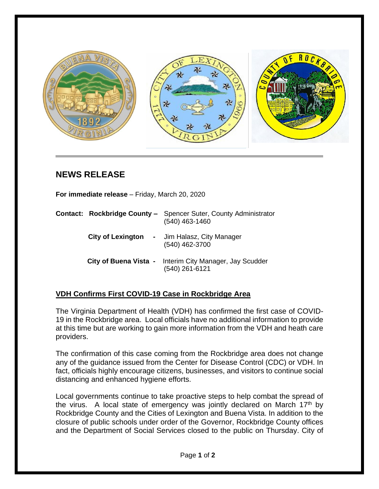

## **NEWS RELEASE**

**For immediate release** – Friday, March 20, 2020

|                          | <b>Contact: Rockbridge County -</b> Spencer Suter, County Administrator<br>(540) 463-1460 |
|--------------------------|-------------------------------------------------------------------------------------------|
| <b>City of Lexington</b> | - Jim Halasz, City Manager<br>(540) 462-3700                                              |
|                          | City of Buena Vista - Interim City Manager, Jay Scudder<br>(540) 261-6121                 |

## **VDH Confirms First COVID-19 Case in Rockbridge Area**

The Virginia Department of Health (VDH) has confirmed the first case of COVID-19 in the Rockbridge area. Local officials have no additional information to provide at this time but are working to gain more information from the VDH and heath care providers.

The confirmation of this case coming from the Rockbridge area does not change any of the guidance issued from the Center for Disease Control (CDC) or VDH. In fact, officials highly encourage citizens, businesses, and visitors to continue social distancing and enhanced hygiene efforts.

Local governments continue to take proactive steps to help combat the spread of the virus. A local state of emergency was jointly declared on March  $17<sup>th</sup>$  by Rockbridge County and the Cities of Lexington and Buena Vista. In addition to the closure of public schools under order of the Governor, Rockbridge County offices and the Department of Social Services closed to the public on Thursday. City of